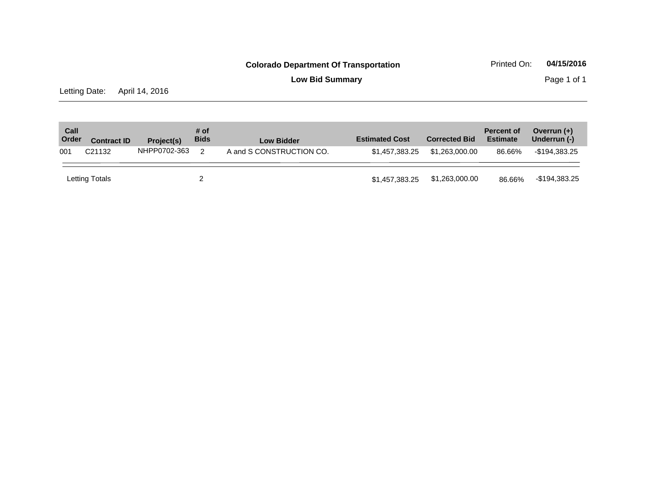**Low Bid Summary** Page 1 of 1

Letting Date: April 14, 2016

| Call<br>Order | <b>Contract ID</b> | Project(s)   | # of<br><b>Bids</b> | Low Bidder               | <b>Estimated Cost</b> | <b>Corrected Bid</b> | <b>Percent of</b><br><b>Estimate</b> | Overrun $(+)$<br>Underrun (-) |
|---------------|--------------------|--------------|---------------------|--------------------------|-----------------------|----------------------|--------------------------------------|-------------------------------|
| 001           | C <sub>21132</sub> | NHPP0702-363 | $\mathcal{P}$       | A and S CONSTRUCTION CO. | \$1,457,383,25        | \$1.263.000.00       | 86.66%                               | -\$194,383.25                 |
|               | Letting Totals     |              |                     |                          | \$1,457,383.25        | \$1,263,000.00       | 86.66%                               | -\$194,383.25                 |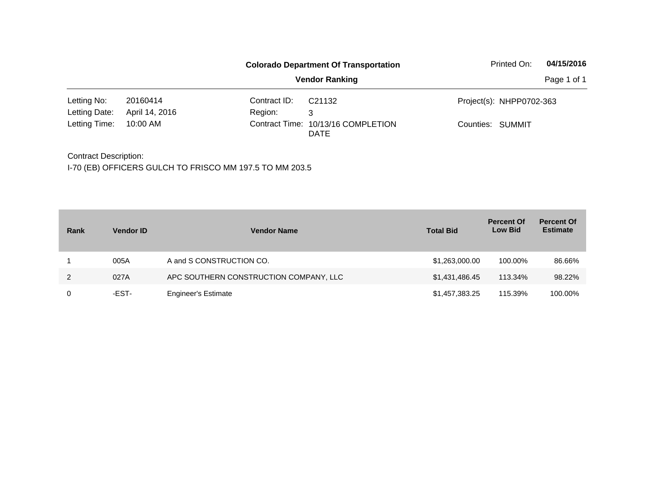|               |                |              | <b>Colorado Department Of Transportation</b>      | Printed On:              | 04/15/2016  |
|---------------|----------------|--------------|---------------------------------------------------|--------------------------|-------------|
|               |                |              | <b>Vendor Ranking</b>                             |                          | Page 1 of 1 |
| Letting No:   | 20160414       | Contract ID: | C21132                                            | Project(s): NHPP0702-363 |             |
| Letting Date: | April 14, 2016 | Region:      | 3                                                 |                          |             |
| Letting Time: | 10:00 AM       |              | Contract Time: 10/13/16 COMPLETION<br><b>DATE</b> | Counties: SUMMIT         |             |

Contract Description: I-70 (EB) OFFICERS GULCH TO FRISCO MM 197.5 TO MM 203.5

| Rank | <b>Vendor ID</b> | <b>Vendor Name</b>                     | <b>Total Bid</b> | <b>Percent Of</b><br><b>Low Bid</b> | <b>Percent Of</b><br><b>Estimate</b> |
|------|------------------|----------------------------------------|------------------|-------------------------------------|--------------------------------------|
|      | 005A             | A and S CONSTRUCTION CO.               | \$1,263,000.00   | 100.00%                             | 86.66%                               |
| 2    | 027A             | APC SOUTHERN CONSTRUCTION COMPANY, LLC | \$1,431,486.45   | 113.34%                             | 98.22%                               |
| 0    | -EST-            | <b>Engineer's Estimate</b>             | \$1,457,383.25   | 115.39%                             | 100.00%                              |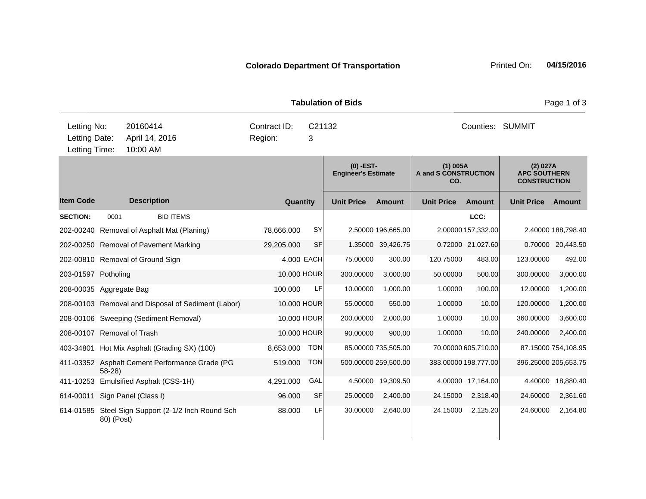**Quantity Unit Price Unit Price Ext** Item Code Description Quantity Unit Price Amount Unit Price Amount Unit Price **Ext Unit Price Amount Ext Amount (0) -EST-Engineer's Estimate (1) 005A A and S CONSTRUCTION CO. (2) 027A APC SOUTHERN CONSTRUCTION Description SECTION:** 0001 BID ITEMS **LCC:** 202-00240 Removal of Asphalt Mat (Planing) 78,666.000 SY 2.50000 196,665.00 2.00000 157,332.00 2.40000 188,798.40 202-00250 Removal of Pavement Marking 29,205.000 SF 1.35000 39,426.75 0.72000 21,027.60 0.70000 20,443.50 202-00810 Removal of Ground Sign 4.000 EACH 75.00000 300.00 120.75000 483.00 123.00000 492.00 203-01597 Potholing 10.000 HOUR 300.00000 3,000.00 50.00000 500.00 300.00000 3,000.00 208-00035 Aggregate Bag 100.000 LF 10.00000 1,000.00 1.00000 100.00 12.00000 1,200.00 208-00103 Removal and Disposal of Sediment (Labor) 10.000 HOUR 55.00000 550.00 1.00000 10.00 120.00000 1,200.00 208-00106 Sweeping (Sediment Removal) 10.000 HOUR 200.00000 2,000.00 1.00000 10.00 360.00000 3,600.00 208-00107 Removal of Trash 10.000 HOUR 90.00000 900.00 1.00000 10.00 240.00000 2,400.00 403-34801 Hot Mix Asphalt (Grading SX) (100) 8,653.000 TON 85.00000 735,505.00 70.00000 605,710.00 87.15000 754,108.95 411-03352 Asphalt Cement Performance Grade (PG 58-28) 519.000 TON 500.00000 259,500.00 383.00000 198,777.00 396.25000 205,653.75 411-10253 Emulsified Asphalt (CSS-1H) 4,291.000 GAL 4.50000 19,309.50 4.00000 17,164.00 4.40000 18,880.40 614-00011 Sign Panel (Class I) 96.000 SF 25.00000 2,400.00 24.15000 2,318.40 24.60000 2,361.60 614-01585 Steel Sign Support (2-1/2 Inch Round Sch 80) (Post) 88.000 LF 30.00000 2,640.00 24.15000 2,125.20 24.60000 2,164.80 **Tabulation of Bids Page 1 of 3 Page 1 of 3** 10:00 AM Counties: SUMMIT Letting Date: April 14, 2016 **3** Region: 3 C21132 Region: Letting Time: Letting No: 20160414 Contract ID: C21132 Counties: Counties: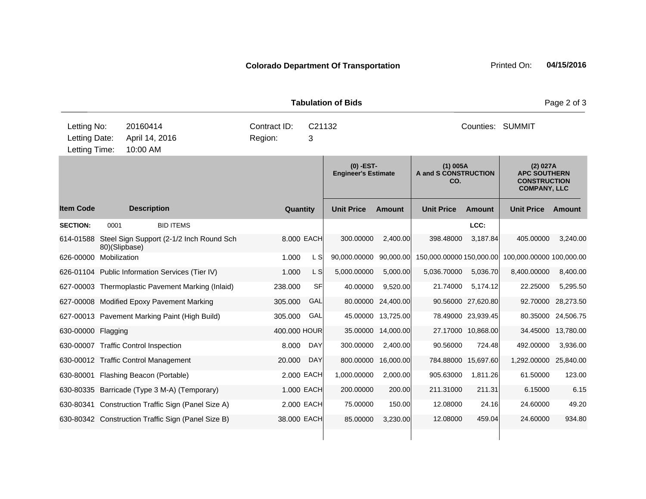| <b>Tabulation of Bids</b>                     |               |                                                    |                         |             |                                           |                    |                                           |                    | Page 2 of 3                                                                   |                    |
|-----------------------------------------------|---------------|----------------------------------------------------|-------------------------|-------------|-------------------------------------------|--------------------|-------------------------------------------|--------------------|-------------------------------------------------------------------------------|--------------------|
| Letting No:<br>Letting Date:<br>Letting Time: |               | 20160414<br>April 14, 2016<br>10:00 AM             | Contract ID:<br>Region: | C21132<br>3 |                                           |                    |                                           |                    | <b>Counties: SUMMIT</b>                                                       |                    |
|                                               |               |                                                    |                         |             | $(0)$ -EST-<br><b>Engineer's Estimate</b> |                    | $(1)$ 005A<br>A and S CONSTRUCTION<br>CO. |                    | (2) 027A<br><b>APC SOUTHERN</b><br><b>CONSTRUCTION</b><br><b>COMPANY, LLC</b> |                    |
| <b>Item Code</b>                              |               | <b>Description</b>                                 | Quantity                |             | <b>Unit Price</b>                         | <b>Amount</b>      | <b>Unit Price</b>                         | <b>Amount</b>      | <b>Unit Price</b>                                                             | Amount             |
| <b>SECTION:</b>                               | 0001          | <b>BID ITEMS</b>                                   |                         |             |                                           |                    |                                           | LCC:               |                                                                               |                    |
| 614-01588                                     | 80)(Slipbase) | Steel Sign Support (2-1/2 Inch Round Sch           |                         | 8.000 EACH  | 300.00000                                 | 2,400.00           | 398.48000                                 | 3,187.84           | 405.00000                                                                     | 3,240.00           |
| 626-00000                                     | Mobilization  |                                                    | 1.000                   | L SI        | 90,000.00000                              | 90,000.00          | 150,000.00000 150,000.00                  |                    | 100,000.00000 100,000.00                                                      |                    |
|                                               |               | 626-01104 Public Information Services (Tier IV)    | 1.000                   | L S         | 5,000.00000                               | 5,000.00           | 5,036.70000                               | 5,036.70           | 8,400.00000                                                                   | 8,400.00           |
|                                               |               | 627-00003 Thermoplastic Pavement Marking (Inlaid)  | 238.000                 | SFI         | 40.00000                                  | 9,520.00           | 21.74000                                  | 5,174.12           | 22.25000                                                                      | 5,295.50           |
|                                               |               | 627-00008 Modified Epoxy Pavement Marking          | 305.000                 | GAL         | 80.00000                                  | 24,400.00          |                                           | 90.56000 27,620.80 | 92.70000                                                                      | 28,273.50          |
|                                               |               | 627-00013 Pavement Marking Paint (High Build)      | 305.000                 | GAL         |                                           | 45.00000 13,725.00 |                                           | 78.49000 23,939.45 |                                                                               | 80.35000 24,506.75 |
| 630-00000 Flagging                            |               |                                                    | 400,000 HOUR            |             | 35.00000                                  | 14,000.00          |                                           | 27.17000 10.868.00 | 34.45000                                                                      | 13,780.00          |
|                                               |               | 630-00007 Traffic Control Inspection               | 8.000                   | DAY         | 300.00000                                 | 2,400.00           | 90.56000                                  | 724.48             | 492.00000                                                                     | 3,936.00           |
|                                               |               | 630-00012 Traffic Control Management               | 20,000                  | <b>DAY</b>  | 800.00000                                 | 16,000.00          | 784.88000                                 | 15,697.60          | 1,292.00000 25,840.00                                                         |                    |
| 630-80001                                     |               | Flashing Beacon (Portable)                         |                         | 2.000 EACH  | 1,000.00000                               | 2,000.00           | 905.63000                                 | 1,811.26           | 61.50000                                                                      | 123.00             |
|                                               |               | 630-80335 Barricade (Type 3 M-A) (Temporary)       |                         | 1.000 EACH  | 200.00000                                 | 200.00             | 211.31000                                 | 211.31             | 6.15000                                                                       | 6.15               |
|                                               |               | 630-80341 Construction Traffic Sign (Panel Size A) |                         | 2.000 EACH  | 75.00000                                  | 150.00             | 12.08000                                  | 24.16              | 24.60000                                                                      | 49.20              |
|                                               |               | 630-80342 Construction Traffic Sign (Panel Size B) | 38.000 EACH             |             | 85.00000                                  | 3,230.00           | 12.08000                                  | 459.04             | 24.60000                                                                      | 934.80             |
|                                               |               |                                                    |                         |             |                                           |                    |                                           |                    |                                                                               |                    |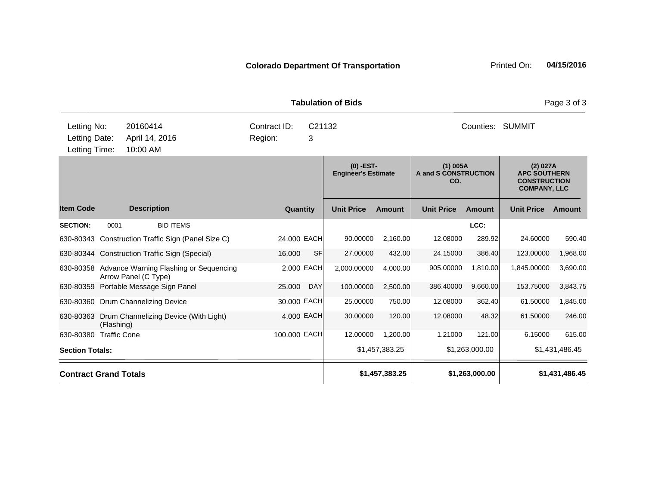|                                               |                                        |                                                                          |                         |             | <b>Tabulation of Bids</b>                 |                |                                           |                |                                                                               | Page 3 of 3    |
|-----------------------------------------------|----------------------------------------|--------------------------------------------------------------------------|-------------------------|-------------|-------------------------------------------|----------------|-------------------------------------------|----------------|-------------------------------------------------------------------------------|----------------|
| Letting No:<br>Letting Date:<br>Letting Time: | 20160414<br>April 14, 2016<br>10:00 AM |                                                                          | Contract ID:<br>Region: | C21132<br>3 |                                           |                |                                           |                | Counties: SUMMIT                                                              |                |
|                                               |                                        |                                                                          |                         |             | $(0)$ -EST-<br><b>Engineer's Estimate</b> |                | $(1)$ 005A<br>A and S CONSTRUCTION<br>CO. |                | (2) 027A<br><b>APC SOUTHERN</b><br><b>CONSTRUCTION</b><br><b>COMPANY, LLC</b> |                |
| <b>Item Code</b>                              |                                        | <b>Description</b>                                                       | Quantity                |             | <b>Unit Price</b>                         | Amount         | <b>Unit Price</b>                         | Amount         | <b>Unit Price</b>                                                             | Amount         |
| <b>SECTION:</b>                               | 0001                                   | <b>BID ITEMS</b>                                                         |                         |             |                                           |                |                                           | LCC:           |                                                                               |                |
|                                               |                                        | 630-80343 Construction Traffic Sign (Panel Size C)                       | 24.000 EACH             |             | 90.00000                                  | 2,160.00       | 12.08000                                  | 289.92         | 24.60000                                                                      | 590.40         |
|                                               |                                        | 630-80344 Construction Traffic Sign (Special)                            | 16.000                  | SF          | 27.00000                                  | 432.00         | 24.15000                                  | 386.40         | 123.00000                                                                     | 1,968.00       |
|                                               |                                        | 630-80358 Advance Warning Flashing or Sequencing<br>Arrow Panel (C Type) |                         | 2.000 EACH  | 2,000.00000                               | 4,000.00       | 905.00000                                 | 1,810.00       | 1,845.00000                                                                   | 3,690.00       |
| 630-80359                                     |                                        | Portable Message Sign Panel                                              | 25.000                  | <b>DAY</b>  | 100.00000                                 | 2,500.00       | 386.40000                                 | 9,660.00       | 153.75000                                                                     | 3,843.75       |
|                                               |                                        | 630-80360 Drum Channelizing Device                                       | 30.000 EACH             |             | 25.00000                                  | 750.00         | 12.08000                                  | 362.40         | 61.50000                                                                      | 1,845.00       |
| 630-80363                                     | (Flashing)                             | Drum Channelizing Device (With Light)                                    |                         | 4.000 EACH  | 30.00000                                  | 120.00         | 12.08000                                  | 48.32          | 61.50000                                                                      | 246.00         |
| 630-80380                                     | <b>Traffic Cone</b>                    |                                                                          | 100.000 EACH            |             | 12.00000                                  | 1,200.00       | 1.21000                                   | 121.00         | 6.15000                                                                       | 615.00         |
| <b>Section Totals:</b>                        |                                        |                                                                          |                         |             |                                           | \$1,457,383.25 |                                           | \$1,263,000.00 |                                                                               | \$1,431,486.45 |
|                                               | <b>Contract Grand Totals</b>           |                                                                          |                         |             |                                           | \$1,457,383.25 |                                           | \$1,263,000.00 |                                                                               | \$1,431,486.45 |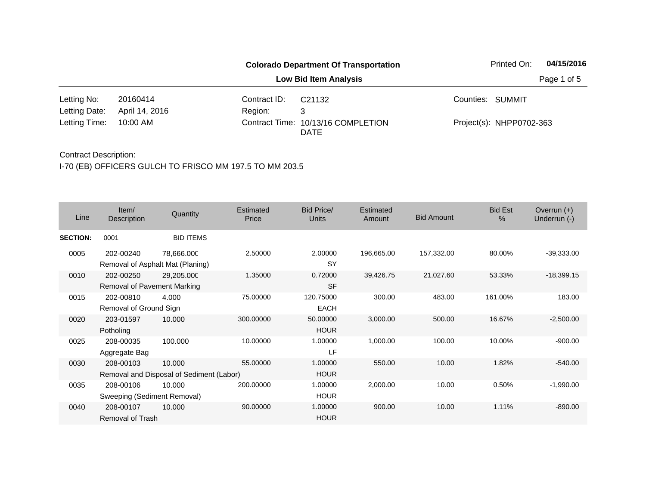|               |                |              | <b>Colorado Department Of Transportation</b> | Printed On:              | 04/15/2016  |
|---------------|----------------|--------------|----------------------------------------------|--------------------------|-------------|
|               |                |              | <b>Low Bid Item Analysis</b>                 |                          | Page 1 of 5 |
| Letting No:   | 20160414       | Contract ID: | C <sub>21132</sub>                           | Counties: SUMMIT         |             |
| Letting Date: | April 14, 2016 | Region:      | 3                                            |                          |             |
| Letting Time: | 10:00 AM       |              | Contract Time: 10/13/16 COMPLETION<br>DATE   | Project(s): NHPP0702-363 |             |

| Line            | Item/<br>Description                     | Quantity                                           | Estimated<br>Price | <b>Bid Price/</b><br>Units | Estimated<br>Amount | <b>Bid Amount</b> | <b>Bid Est</b><br>$\%$ | Overrun $(+)$<br>Underrun (-) |
|-----------------|------------------------------------------|----------------------------------------------------|--------------------|----------------------------|---------------------|-------------------|------------------------|-------------------------------|
| <b>SECTION:</b> | 0001                                     | <b>BID ITEMS</b>                                   |                    |                            |                     |                   |                        |                               |
| 0005            | 202-00240                                | 78,666.000<br>Removal of Asphalt Mat (Planing)     | 2.50000            | 2.00000<br>SY              | 196,665.00          | 157,332.00        | 80.00%                 | $-39,333.00$                  |
| 0010            | 202-00250<br>Removal of Pavement Marking | 29,205.000                                         | 1.35000            | 0.72000<br><b>SF</b>       | 39,426.75           | 21,027.60         | 53.33%                 | $-18,399.15$                  |
| 0015            | 202-00810<br>Removal of Ground Sign      | 4.000                                              | 75.00000           | 120.75000<br><b>EACH</b>   | 300.00              | 483.00            | 161.00%                | 183.00                        |
| 0020            | 203-01597<br>Potholing                   | 10.000                                             | 300.00000          | 50.00000<br><b>HOUR</b>    | 3,000.00            | 500.00            | 16.67%                 | $-2,500.00$                   |
| 0025            | 208-00035<br>Aggregate Bag               | 100.000                                            | 10.00000           | 1.00000<br>LF              | 1,000.00            | 100.00            | 10.00%                 | $-900.00$                     |
| 0030            | 208-00103                                | 10.000<br>Removal and Disposal of Sediment (Labor) | 55.00000           | 1.00000<br><b>HOUR</b>     | 550.00              | 10.00             | 1.82%                  | $-540.00$                     |
| 0035            | 208-00106<br>Sweeping (Sediment Removal) | 10.000                                             | 200.00000          | 1.00000<br><b>HOUR</b>     | 2,000.00            | 10.00             | 0.50%                  | $-1,990.00$                   |
| 0040            | 208-00107<br>Removal of Trash            | 10.000                                             | 90.00000           | 1.00000<br><b>HOUR</b>     | 900.00              | 10.00             | 1.11%                  | $-890.00$                     |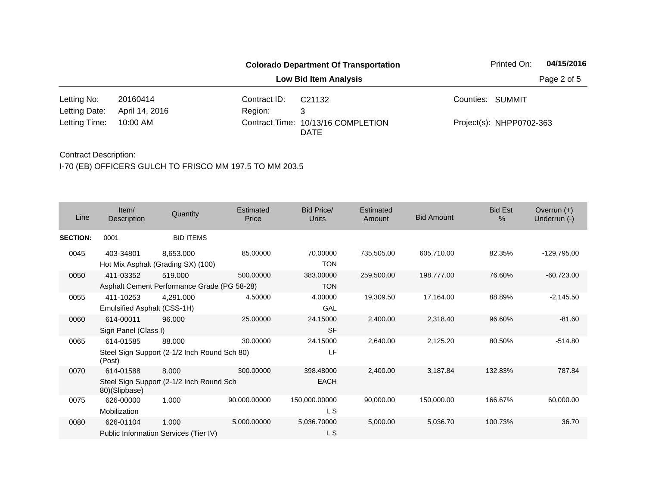|               |                |              | <b>Colorado Department Of Transportation</b>      | Printed On:              | 04/15/2016  |
|---------------|----------------|--------------|---------------------------------------------------|--------------------------|-------------|
|               |                |              | <b>Low Bid Item Analysis</b>                      |                          | Page 2 of 5 |
| Letting No:   | 20160414       | Contract ID: | C21132                                            | Counties: SUMMIT         |             |
| Letting Date: | April 14, 2016 | Region:      | 3                                                 |                          |             |
| Letting Time: | 10:00 AM       |              | Contract Time: 10/13/16 COMPLETION<br><b>DATE</b> | Project(s): NHPP0702-363 |             |

| Line            | Item/<br>Description        | Quantity                                        | Estimated<br>Price | Bid Price/<br><b>Units</b> | Estimated<br>Amount | <b>Bid Amount</b> | <b>Bid Est</b><br>$\%$ | Overrun $(+)$<br>Underrun (-) |
|-----------------|-----------------------------|-------------------------------------------------|--------------------|----------------------------|---------------------|-------------------|------------------------|-------------------------------|
| <b>SECTION:</b> | 0001                        | <b>BID ITEMS</b>                                |                    |                            |                     |                   |                        |                               |
| 0045            | 403-34801                   | 8,653.000<br>Hot Mix Asphalt (Grading SX) (100) | 85.00000           | 70.00000<br><b>TON</b>     | 735,505.00          | 605,710.00        | 82.35%                 | -129,795.00                   |
| 0050            | 411-03352                   | 519.000                                         | 500.00000          | 383.00000                  | 259,500.00          | 198,777.00        | 76.60%                 | $-60,723.00$                  |
|                 |                             | Asphalt Cement Performance Grade (PG 58-28)     |                    | <b>TON</b>                 |                     |                   |                        |                               |
| 0055            | 411-10253                   | 4,291.000                                       | 4.50000            | 4.00000                    | 19,309.50           | 17,164.00         | 88.89%                 | $-2,145.50$                   |
|                 | Emulsified Asphalt (CSS-1H) |                                                 |                    | GAL                        |                     |                   |                        |                               |
| 0060            | 614-00011                   | 96.000                                          | 25.00000           | 24.15000                   | 2,400.00            | 2,318.40          | 96.60%                 | $-81.60$                      |
|                 | Sign Panel (Class I)        |                                                 |                    | <b>SF</b>                  |                     |                   |                        |                               |
| 0065            | 614-01585                   | 88.000                                          | 30.00000           | 24.15000                   | 2,640.00            | 2,125.20          | 80.50%                 | $-514.80$                     |
|                 | (Post)                      | Steel Sign Support (2-1/2 Inch Round Sch 80)    |                    | LF                         |                     |                   |                        |                               |
| 0070            | 614-01588                   | 8.000                                           | 300.00000          | 398.48000                  | 2,400.00            | 3,187.84          | 132.83%                | 787.84                        |
|                 | 80)(Slipbase)               | Steel Sign Support (2-1/2 Inch Round Sch        |                    | <b>EACH</b>                |                     |                   |                        |                               |
| 0075            | 626-00000                   | 1.000                                           | 90,000.00000       | 150,000.00000              | 90,000.00           | 150,000.00        | 166.67%                | 60,000.00                     |
|                 | Mobilization                |                                                 |                    | L S                        |                     |                   |                        |                               |
| 0080            | 626-01104                   | 1.000                                           | 5,000.00000        | 5,036.70000                | 5,000.00            | 5,036.70          | 100.73%                | 36.70                         |
|                 |                             | Public Information Services (Tier IV)           |                    | L S                        |                     |                   |                        |                               |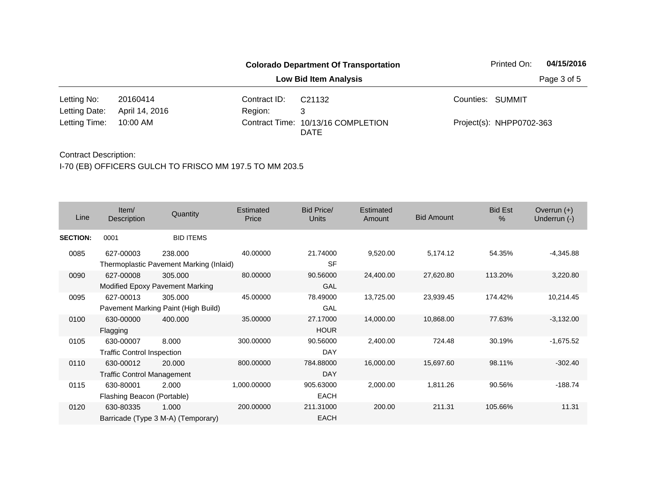|               |                |              | <b>Colorado Department Of Transportation</b> | 04/15/2016<br>Printed On: |             |  |
|---------------|----------------|--------------|----------------------------------------------|---------------------------|-------------|--|
|               |                |              | <b>Low Bid Item Analysis</b>                 |                           | Page 3 of 5 |  |
| Letting No:   | 20160414       | Contract ID: | C <sub>21132</sub>                           | Counties: SUMMIT          |             |  |
| Letting Date: | April 14, 2016 | Region:      | 3                                            |                           |             |  |
| Letting Time: | 10:00 AM       |              | Contract Time: 10/13/16 COMPLETION<br>DATE   | Project(s): NHPP0702-363  |             |  |

| Line            | Item/<br>Description              | Quantity                                | Estimated<br>Price | Bid Price/<br>Units | Estimated<br>Amount | <b>Bid Amount</b> | <b>Bid Est</b><br>$\%$ | Overrun $(+)$<br>Underrun (-) |
|-----------------|-----------------------------------|-----------------------------------------|--------------------|---------------------|---------------------|-------------------|------------------------|-------------------------------|
| <b>SECTION:</b> | 0001                              | <b>BID ITEMS</b>                        |                    |                     |                     |                   |                        |                               |
| 0085            | 627-00003                         | 238.000                                 | 40.00000           | 21.74000            | 9,520.00            | 5,174.12          | 54.35%                 | -4,345.88                     |
|                 |                                   | Thermoplastic Pavement Marking (Inlaid) |                    | <b>SF</b>           |                     |                   |                        |                               |
| 0090            | 627-00008                         | 305.000                                 | 80.00000           | 90.56000            | 24,400.00           | 27,620.80         | 113.20%                | 3,220.80                      |
|                 |                                   | Modified Epoxy Pavement Marking         |                    | GAL                 |                     |                   |                        |                               |
| 0095            | 627-00013                         | 305.000                                 | 45.00000           | 78.49000            | 13,725.00           | 23,939.45         | 174.42%                | 10,214.45                     |
|                 |                                   | Pavement Marking Paint (High Build)     |                    | GAL                 |                     |                   |                        |                               |
| 0100            | 630-00000                         | 400.000                                 | 35.00000           | 27.17000            | 14,000.00           | 10,868.00         | 77.63%                 | $-3,132.00$                   |
|                 | Flagging                          |                                         |                    | <b>HOUR</b>         |                     |                   |                        |                               |
| 0105            | 630-00007                         | 8.000                                   | 300.00000          | 90.56000            | 2,400.00            | 724.48            | 30.19%                 | $-1,675.52$                   |
|                 | <b>Traffic Control Inspection</b> |                                         |                    | DAY                 |                     |                   |                        |                               |
| 0110            | 630-00012                         | 20.000                                  | 800.00000          | 784.88000           | 16,000.00           | 15,697.60         | 98.11%                 | $-302.40$                     |
|                 | <b>Traffic Control Management</b> |                                         |                    | <b>DAY</b>          |                     |                   |                        |                               |
| 0115            | 630-80001                         | 2.000                                   | 1,000.00000        | 905.63000           | 2,000.00            | 1,811.26          | 90.56%                 | $-188.74$                     |
|                 | Flashing Beacon (Portable)        |                                         |                    | <b>EACH</b>         |                     |                   |                        |                               |
| 0120            | 630-80335                         | 1.000                                   | 200.00000          | 211.31000           | 200.00              | 211.31            | 105.66%                | 11.31                         |
|                 |                                   | Barricade (Type 3 M-A) (Temporary)      |                    | <b>EACH</b>         |                     |                   |                        |                               |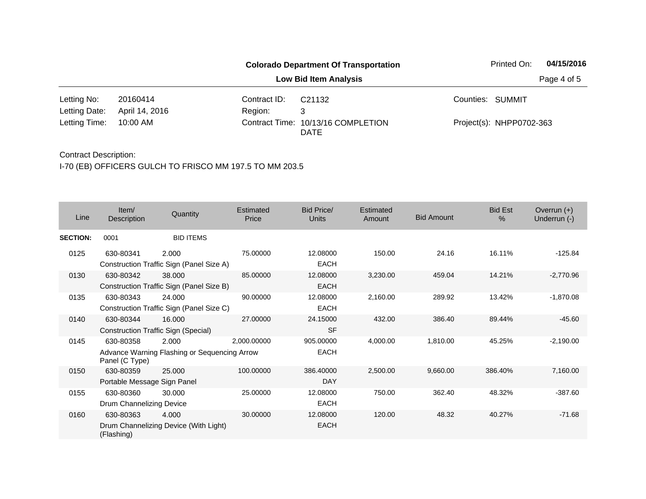|               |                |              | <b>Colorado Department Of Transportation</b> | Printed On:              | 04/15/2016  |
|---------------|----------------|--------------|----------------------------------------------|--------------------------|-------------|
|               |                |              | <b>Low Bid Item Analysis</b>                 |                          | Page 4 of 5 |
| Letting No:   | 20160414       | Contract ID: | C21132                                       | Counties: SUMMIT         |             |
| Letting Date: | April 14, 2016 | Region:      | 3                                            |                          |             |
| Letting Time: | 10:00 AM       |              | Contract Time: 10/13/16 COMPLETION<br>DATE   | Project(s): NHPP0702-363 |             |

| Line            | Item/<br>Description                     | Quantity                                              | Estimated<br>Price | Bid Price/<br><b>Units</b> | <b>Estimated</b><br>Amount | <b>Bid Amount</b> | <b>Bid Est</b><br>$\%$ | Overrun $(+)$<br>Underrun (-) |
|-----------------|------------------------------------------|-------------------------------------------------------|--------------------|----------------------------|----------------------------|-------------------|------------------------|-------------------------------|
| <b>SECTION:</b> | 0001                                     | <b>BID ITEMS</b>                                      |                    |                            |                            |                   |                        |                               |
| 0125            | 630-80341                                | 2.000<br>Construction Traffic Sign (Panel Size A)     | 75.00000           | 12.08000<br><b>EACH</b>    | 150.00                     | 24.16             | 16.11%                 | $-125.84$                     |
| 0130            | 630-80342                                | 38.000<br>Construction Traffic Sign (Panel Size B)    | 85.00000           | 12.08000<br><b>EACH</b>    | 3,230.00                   | 459.04            | 14.21%                 | $-2,770.96$                   |
| 0135            | 630-80343                                | 24.000<br>Construction Traffic Sign (Panel Size C)    | 90.00000           | 12.08000<br><b>EACH</b>    | 2,160.00                   | 289.92            | 13.42%                 | $-1,870.08$                   |
| 0140            | 630-80344                                | 16.000<br>Construction Traffic Sign (Special)         | 27,00000           | 24.15000<br><b>SF</b>      | 432.00                     | 386.40            | 89.44%                 | $-45.60$                      |
| 0145            | 630-80358<br>Panel (C Type)              | 2.000<br>Advance Warning Flashing or Sequencing Arrow | 2.000.00000        | 905.00000<br>EACH          | 4,000.00                   | 1,810.00          | 45.25%                 | $-2,190.00$                   |
| 0150            | 630-80359<br>Portable Message Sign Panel | 25.000                                                | 100.00000          | 386.40000<br>DAY           | 2,500.00                   | 9,660.00          | 386.40%                | 7,160.00                      |
| 0155            | 630-80360<br>Drum Channelizing Device    | 30,000                                                | 25.00000           | 12.08000<br><b>EACH</b>    | 750.00                     | 362.40            | 48.32%                 | $-387.60$                     |
| 0160            | 630-80363<br>(Flashing)                  | 4.000<br>Drum Channelizing Device (With Light)        | 30.00000           | 12.08000<br><b>EACH</b>    | 120.00                     | 48.32             | 40.27%                 | $-71.68$                      |